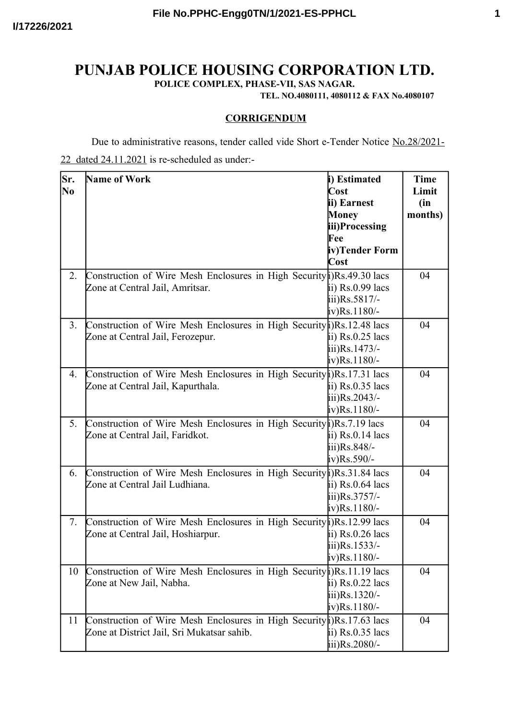## **PUNJAB POLICE HOUSING CORPORATION LTD.**

**POLICE COMPLEX, PHASE-VII, SAS NAGAR.**

**TEL. NO.4080111, 4080112 & FAX No.4080107**

## **CORRIGENDUM**

Due to administrative reasons, tender called vide Short e-Tender Notice No.28/2021-

## 22 dated 24.11.2021 is re-scheduled as under:-

| Sr.<br>N <sub>0</sub> | <b>Name of Work</b>                                                      | i) Estimated<br>Cost | <b>Time</b><br>Limit |
|-----------------------|--------------------------------------------------------------------------|----------------------|----------------------|
|                       |                                                                          | ii) Earnest          | (in                  |
|                       |                                                                          | <b>Money</b>         | months)              |
|                       |                                                                          | iii)Processing       |                      |
|                       |                                                                          | Fee                  |                      |
|                       |                                                                          | iv)Tender Form       |                      |
|                       |                                                                          | Cost                 |                      |
| 2.                    | Construction of Wire Mesh Enclosures in High Security i) Rs. 49.30 lacs  |                      | 04                   |
|                       | Zone at Central Jail, Amritsar.                                          | ii) Rs.0.99 lacs     |                      |
|                       |                                                                          | iii)Rs.5817/-        |                      |
|                       |                                                                          | iv)Rs.1180/-         |                      |
| 3.                    | Construction of Wire Mesh Enclosures in High Security (i)Rs.12.48 lacs   |                      | 04                   |
|                       | Zone at Central Jail, Ferozepur.                                         | ii) Rs.0.25 lacs     |                      |
|                       |                                                                          | iii)Rs.1473/-        |                      |
|                       |                                                                          | iv)Rs.1180/-         |                      |
| 4.                    | Construction of Wire Mesh Enclosures in High Security (i) Rs. 17.31 lacs |                      | 04                   |
|                       | Zone at Central Jail, Kapurthala.                                        | ii) $Rs.0.35$ lacs   |                      |
|                       |                                                                          | iii)Rs.2043/-        |                      |
|                       |                                                                          | iv)Rs.1180/-         |                      |
| 5.                    | Construction of Wire Mesh Enclosures in High Security i) Rs. 7.19 lacs   |                      | 04                   |
|                       | Zone at Central Jail, Faridkot.                                          | ii) Rs.0.14 lacs     |                      |
|                       |                                                                          | iii)Rs.848/-         |                      |
|                       |                                                                          | iv)Rs.590/-          |                      |
| 6.                    | Construction of Wire Mesh Enclosures in High Security (i) Rs. 31.84 lacs |                      | 04                   |
|                       | Zone at Central Jail Ludhiana.                                           | ii) Rs.0.64 lacs     |                      |
|                       |                                                                          | iii)Rs.3757/-        |                      |
|                       |                                                                          | iv)Rs.1180/-         |                      |
| 7.                    | Construction of Wire Mesh Enclosures in High Security (j)Rs.12.99 lacs   |                      | 04                   |
|                       | Zone at Central Jail, Hoshiarpur.                                        | ii) Rs.0.26 lacs     |                      |
|                       |                                                                          | iii)Rs.1533/-        |                      |
|                       |                                                                          | iv)Rs.1180/-         |                      |
| 10                    | Construction of Wire Mesh Enclosures in High Security i)Rs.11.19 lacs    |                      | 04                   |
|                       | Zone at New Jail, Nabha.                                                 | ii) $Rs.0.22$ lacs   |                      |
|                       |                                                                          | iii)Rs.1320/-        |                      |
|                       |                                                                          | iv)Rs.1180/-         |                      |
| 11                    | Construction of Wire Mesh Enclosures in High Security i) Rs.17.63 lacs   |                      | 04                   |
|                       | Zone at District Jail, Sri Mukatsar sahib.                               | ii) Rs.0.35 lacs     |                      |
|                       |                                                                          | iii)Rs.2080/-        |                      |